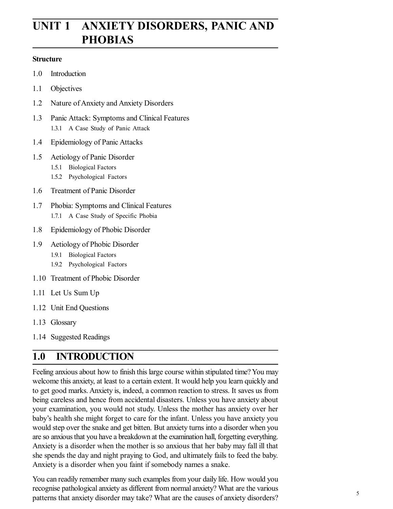# **UNIT 1 ANXIETY DISORDERS, PANIC AND PHOBIAS**

#### **Structure**

- 1.0 Introduction
- 1.1 Objectives
- 1.2 Nature of Anxiety and Anxiety Disorders
- 1.3 Panic Attack: Symptoms and Clinical Features 1.3.1 A Case Study of Panic Attack
- 1.4 Epidemiology of Panic Attacks
- 1.5 Aetiology of Panic Disorder
	- 1.5.1 Biological Factors
	- 1.5.2 Psychological Factors
- 1.6 Treatment of Panic Disorder
- 1.7 Phobia: Symptoms and Clinical Features 1.7.1 A Case Study of Specific Phobia
- 1.8 Epidemiology of Phobic Disorder
- 1.9 Aetiology of Phobic Disorder
	- 1.9.1 Biological Factors
	- 1.9.2 Psychological Factors
- 1.10 Treatment of Phobic Disorder
- 1.11 Let Us Sum Up
- 1.12 Unit End Questions
- 1.13 Glossary
- 1.14 Suggested Readings

### **1.0 INTRODUCTION**

Feeling anxious about how to finish this large course within stipulated time? You may welcome this anxiety, at least to a certain extent. It would help you learn quickly and to get good marks. Anxiety is, indeed, a common reaction to stress. It saves us from being careless and hence from accidental disasters. Unless you have anxiety about your examination, you would not study. Unless the mother has anxiety over her baby's health she might forget to care for the infant. Unless you have anxiety you would step over the snake and get bitten. But anxiety turns into a disorder when you are so anxious that you have a breakdown at the examination hall, forgetting everything. Anxiety is a disorder when the mother is so anxious that her baby may fall ill that she spends the day and night praying to God, and ultimately fails to feed the baby. Anxiety is a disorder when you faint if somebody names a snake.

You can readily remember many such examples from your daily life. How would you recognise pathological anxiety as different from normal anxiety? What are the various patterns that anxiety disorder may take? What are the causes of anxiety disorders?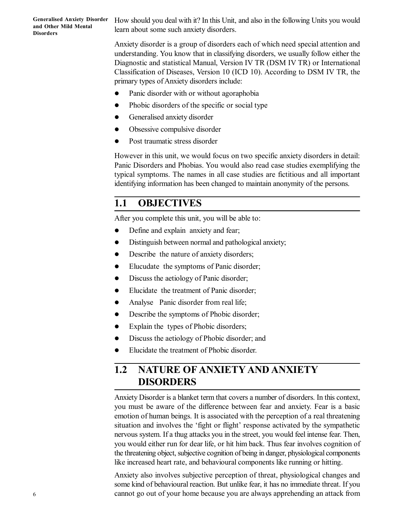How should you deal with it? In this Unit, and also in the following Units you would learn about some such anxiety disorders.

Anxiety disorder is a group of disorders each of which need special attention and understanding. You know that in classifying disorders, we usually follow either the Diagnostic and statistical Manual, Version IV TR (DSM IV TR) or International Classification of Diseases, Version 10 (ICD 10). According to DSM IV TR, the primary types of Anxiety disorders include:

- Panic disorder with or without agoraphobia
- Phobic disorders of the specific or social type
- Generalised anxiety disorder
- Obsessive compulsive disorder
- Post traumatic stress disorder

However in this unit, we would focus on two specific anxiety disorders in detail: Panic Disorders and Phobias. You would also read case studies exemplifying the typical symptoms. The names in all case studies are fictitious and all important identifying information has been changed to maintain anonymity of the persons.

## **1.1 OBJECTIVES**

After you complete this unit, you will be able to:

- Define and explain anxiety and fear;
- Distinguish between normal and pathological anxiety;
- Describe the nature of anxiety disorders;
- Elucudate the symptoms of Panic disorder;
- Discuss the aetiology of Panic disorder;
- Elucidate the treatment of Panic disorder;
- Analyse Panic disorder from real life;
- Describe the symptoms of Phobic disorder;
- Explain the types of Phobic disorders;
- Discuss the aetiology of Phobic disorder; and
- Elucidate the treatment of Phobic disorder.

## **1.2 NATURE OF ANXIETY AND ANXIETY DISORDERS**

Anxiety Disorder is a blanket term that covers a number of disorders. In this context, you must be aware of the difference between fear and anxiety. Fear is a basic emotion of human beings. It is associated with the perception of a real threatening situation and involves the 'fight or flight' response activated by the sympathetic nervous system. If a thug attacks you in the street, you would feel intense fear. Then, you would either run for dear life, or hit him back. Thus fear involves cognition of the threatening object, subjective cognition of being in danger, physiological components like increased heart rate, and behavioural components like running or hitting.

Anxiety also involves subjective perception of threat, physiological changes and some kind of behavioural reaction. But unlike fear, it has no immediate threat. If you cannot go out of your home because you are always apprehending an attack from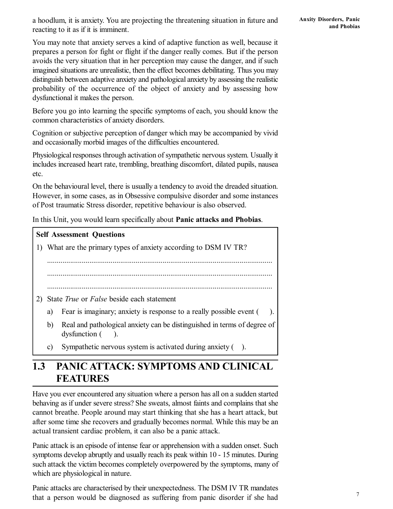a hoodlum, it is anxiety. You are projecting the threatening situation in future and reacting to it as if it is imminent.

You may note that anxiety serves a kind of adaptive function as well, because it prepares a person for fight or flight if the danger really comes. But if the person avoids the very situation that in her perception may cause the danger, and if such imagined situations are unrealistic, then the effect becomes debilitating. Thus you may distinguish between adaptive anxiety and pathological anxiety by assessing the realistic probability of the occurrence of the object of anxiety and by assessing how dysfunctional it makes the person.

Before you go into learning the specific symptoms of each, you should know the common characteristics of anxiety disorders.

Cognition or subjective perception of danger which may be accompanied by vivid and occasionally morbid images of the difficulties encountered.

Physiological responses through activation of sympathetic nervous system. Usually it includes increased heart rate, trembling, breathing discomfort, dilated pupils, nausea etc.

On the behavioural level, there is usually a tendency to avoid the dreaded situation. However, in some cases, as in Obsessive compulsive disorder and some instances of Post traumatic Stress disorder, repetitive behaviour is also observed.

In this Unit, you would learn specifically about **Panic attacks and Phobias**.

# **Self Assessment Questions** 1) What are the primary types of anxiety according to DSM IV TR? ..................................................................................................................... ..................................................................................................................... ..................................................................................................................... 2) State *True* or *False* beside each statement a) Fear is imaginary; anxiety is response to a really possible event ( b) Real and pathological anxiety can be distinguished in terms of degree of dysfunction  $($ ). c) Sympathetic nervous system is activated during anxiety ( ).

## **1.3 PANIC ATTACK: SYMPTOMS AND CLINICAL FEATURES**

Have you ever encountered any situation where a person has all on a sudden started behaving as if under severe stress? She sweats, almost faints and complains that she cannot breathe. People around may start thinking that she has a heart attack, but after some time she recovers and gradually becomes normal. While this may be an actual transient cardiac problem, it can also be a panic attack.

Panic attack is an episode of intense fear or apprehension with a sudden onset. Such symptoms develop abruptly and usually reach its peak within 10 - 15 minutes. During such attack the victim becomes completely overpowered by the symptoms, many of which are physiological in nature.

Panic attacks are characterised by their unexpectedness. The DSM IV TR mandates that a person would be diagnosed as suffering from panic disorder if she had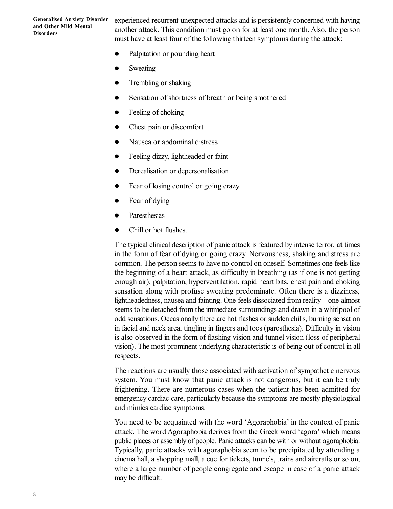experienced recurrent unexpected attacks and is persistently concerned with having another attack. This condition must go on for at least one month. Also, the person must have at least four of the following thirteen symptoms during the attack:

- Palpitation or pounding heart
- Sweating
- Trembling or shaking
- Sensation of shortness of breath or being smothered
- Feeling of choking
- Chest pain or discomfort
- Nausea or abdominal distress
- Feeling dizzy, lightheaded or faint
- Derealisation or depersonalisation
- Fear of losing control or going crazy
- Fear of dying
- Paresthesias
- Chill or hot flushes.

The typical clinical description of panic attack is featured by intense terror, at times in the form of fear of dying or going crazy. Nervousness, shaking and stress are common. The person seems to have no control on oneself. Sometimes one feels like the beginning of a heart attack, as difficulty in breathing (as if one is not getting enough air), palpitation, hyperventilation, rapid heart bits, chest pain and choking sensation along with profuse sweating predominate. Often there is a dizziness, lightheadedness, nausea and fainting. One feels dissociated from reality – one almost seems to be detached from the immediate surroundings and drawn in a whirlpool of odd sensations. Occasionally there are hot flashes or sudden chills, burning sensation in facial and neck area, tingling in fingers and toes (paresthesia). Difficulty in vision is also observed in the form of flashing vision and tunnel vision (loss of peripheral vision). The most prominent underlying characteristic is of being out of control in all respects.

The reactions are usually those associated with activation of sympathetic nervous system. You must know that panic attack is not dangerous, but it can be truly frightening. There are numerous cases when the patient has been admitted for emergency cardiac care, particularly because the symptoms are mostly physiological and mimics cardiac symptoms.

You need to be acquainted with the word 'Agoraphobia' in the context of panic attack. The word Agoraphobia derives from the Greek word 'agora' which means public places or assembly of people. Panic attacks can be with or without agoraphobia. Typically, panic attacks with agoraphobia seem to be precipitated by attending a cinema hall, a shopping mall, a cue for tickets, tunnels, trains and aircrafts or so on, where a large number of people congregate and escape in case of a panic attack may be difficult.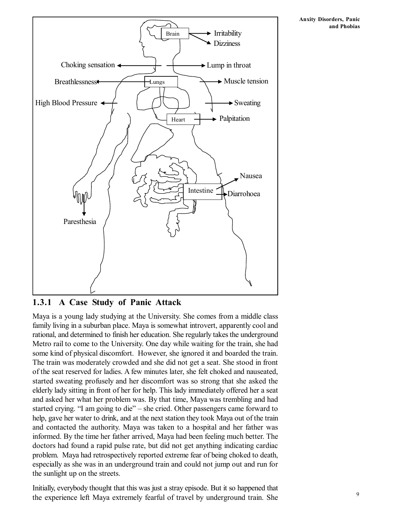

**1.3.1 A Case Study of Panic Attack**

Maya is a young lady studying at the University. She comes from a middle class family living in a suburban place. Maya is somewhat introvert, apparently cool and rational, and determined to finish her education. She regularly takes the underground Metro rail to come to the University. One day while waiting for the train, she had some kind of physical discomfort. However, she ignored it and boarded the train. The train was moderately crowded and she did not get a seat. She stood in front of the seat reserved for ladies. A few minutes later, she felt choked and nauseated, started sweating profusely and her discomfort was so strong that she asked the elderly lady sitting in front of her for help. This lady immediately offered her a seat and asked her what her problem was. By that time, Maya was trembling and had started crying. "I am going to die" – she cried. Other passengers came forward to help, gave her water to drink, and at the next station they took Maya out of the train and contacted the authority. Maya was taken to a hospital and her father was informed. By the time her father arrived, Maya had been feeling much better. The doctors had found a rapid pulse rate, but did not get anything indicating cardiac problem. Maya had retrospectively reported extreme fear of being choked to death, especially as she was in an underground train and could not jump out and run for the sunlight up on the streets.

Initially, everybody thought that this was just a stray episode. But it so happened that the experience left Maya extremely fearful of travel by underground train. She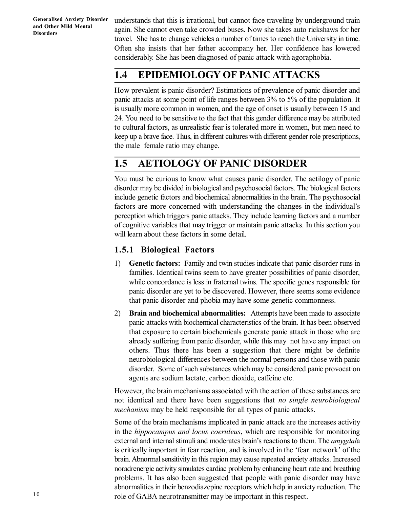understands that this is irrational, but cannot face traveling by underground train again. She cannot even take crowded buses. Now she takes auto rickshaws for her travel. She has to change vehicles a number of times to reach the University in time. Often she insists that her father accompany her. Her confidence has lowered considerably. She has been diagnosed of panic attack with agoraphobia.

## **1.4 EPIDEMIOLOGY OF PANIC ATTACKS**

How prevalent is panic disorder? Estimations of prevalence of panic disorder and panic attacks at some point of life ranges between 3% to 5% of the population. It is usually more common in women, and the age of onset is usually between 15 and 24. You need to be sensitive to the fact that this gender difference may be attributed to cultural factors, as unrealistic fear is tolerated more in women, but men need to keep up a brave face. Thus, in different cultures with different gender role prescriptions, the male female ratio may change.

## **1.5 AETIOLOGY OF PANIC DISORDER**

You must be curious to know what causes panic disorder. The aetilogy of panic disorder may be divided in biological and psychosocial factors. The biological factors include genetic factors and biochemical abnormalities in the brain. The psychosocial factors are more concerned with understanding the changes in the individual's perception which triggers panic attacks. They include learning factors and a number of cognitive variables that may trigger or maintain panic attacks. In this section you will learn about these factors in some detail.

### **1.5.1 Biological Factors**

- 1) **Genetic factors:** Family and twin studies indicate that panic disorder runs in families. Identical twins seem to have greater possibilities of panic disorder, while concordance is less in fraternal twins. The specific genes responsible for panic disorder are yet to be discovered. However, there seems some evidence that panic disorder and phobia may have some genetic commonness.
- 2) **Brain and biochemical abnormalities:** Attempts have been made to associate panic attacks with biochemical characteristics of the brain. It has been observed that exposure to certain biochemicals generate panic attack in those who are already suffering from panic disorder, while this may not have any impact on others. Thus there has been a suggestion that there might be definite neurobiological differences between the normal persons and those with panic disorder. Some of such substances which may be considered panic provocation agents are sodium lactate, carbon dioxide, caffeine etc.

However, the brain mechanisms associated with the action of these substances are not identical and there have been suggestions that *no single neurobiological mechanism* may be held responsible for all types of panic attacks.

Some of the brain mechanisms implicated in panic attack are the increases activity in the *hippocampus and locus coeruleus*, which are responsible for monitoring external and internal stimuli and moderates brain's reactions to them. The *amygdal*a is critically important in fear reaction, and is involved in the 'fear network' of the brain. Abnormal sensitivity in this region may cause repeated anxiety attacks. Increased noradrenergic activity simulates cardiac problem by enhancing heart rate and breathing problems. It has also been suggested that people with panic disorder may have abnormalities in their benzodiazepine receptors which help in anxiety reduction. The role of GABA neurotransmitter may be important in this respect.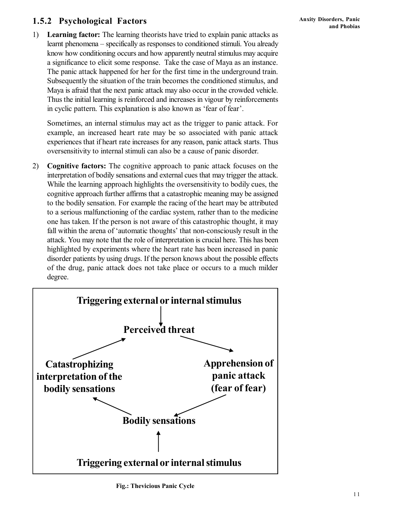### **1.5.2 Psychological Factors**

1) **Learning factor:** The learning theorists have tried to explain panic attacks as learnt phenomena – specifically as responses to conditioned stimuli. You already know how conditioning occurs and how apparently neutral stimulus may acquire a significance to elicit some response. Take the case of Maya as an instance. The panic attack happened for her for the first time in the underground train. Subsequently the situation of the train becomes the conditioned stimulus, and Maya is afraid that the next panic attack may also occur in the crowded vehicle. Thus the initial learning is reinforced and increases in vigour by reinforcements in cyclic pattern. This explanation is also known as 'fear of fear'.

Sometimes, an internal stimulus may act as the trigger to panic attack. For example, an increased heart rate may be so associated with panic attack experiences that if heart rate increases for any reason, panic attack starts. Thus oversensitivity to internal stimuli can also be a cause of panic disorder.

2) **Cognitive factors:** The cognitive approach to panic attack focuses on the interpretation of bodily sensations and external cues that may trigger the attack. While the learning approach highlights the oversensitivity to bodily cues, the cognitive approach further affirms that a catastrophic meaning may be assigned to the bodily sensation. For example the racing of the heart may be attributed to a serious malfunctioning of the cardiac system, rather than to the medicine one has taken. If the person is not aware of this catastrophic thought, it may fall within the arena of 'automatic thoughts' that non-consciously result in the attack. You may note that the role of interpretation is crucial here. This has been highlighted by experiments where the heart rate has been increased in panic disorder patients by using drugs. If the person knows about the possible effects of the drug, panic attack does not take place or occurs to a much milder degree.

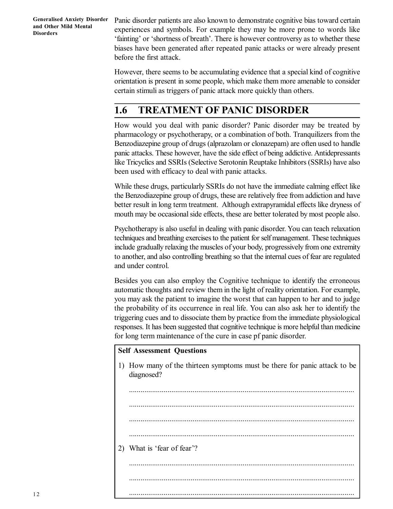Panic disorder patients are also known to demonstrate cognitive bias toward certain experiences and symbols. For example they may be more prone to words like 'fainting' or 'shortness of breath'. There is however controversy as to whether these biases have been generated after repeated panic attacks or were already present before the first attack.

However, there seems to be accumulating evidence that a special kind of cognitive orientation is present in some people, which make them more amenable to consider certain stimuli as triggers of panic attack more quickly than others.

## **1.6 TREATMENT OF PANIC DISORDER**

How would you deal with panic disorder? Panic disorder may be treated by pharmacology or psychotherapy, or a combination of both. Tranquilizers from the Benzodiazepine group of drugs (alprazolam or clonazepam) are often used to handle panic attacks. These however, have the side effect of being addictive. Antidepressants like Tricyclics and SSRIs (Selective Serotonin Reuptake Inhibitors (SSRIs) have also been used with efficacy to deal with panic attacks.

While these drugs, particularly SSRIs do not have the immediate calming effect like the Benzodiazepine group of drugs, these are relatively free from addiction and have better result in long term treatment. Although extrapyramidal effects like dryness of mouth may be occasional side effects, these are better tolerated by most people also.

Psychotherapy is also useful in dealing with panic disorder. You can teach relaxation techniques and breathing exercises to the patient for self management. These techniques include gradually relaxing the muscles of your body, progressively from one extremity to another, and also controlling breathing so that the internal cues of fear are regulated and under control.

Besides you can also employ the Cognitive technique to identify the erroneous automatic thoughts and review them in the light of reality orientation. For example, you may ask the patient to imagine the worst that can happen to her and to judge the probability of its occurrence in real life. You can also ask her to identify the triggering cues and to dissociate them by practice from the immediate physiological responses. It has been suggested that cognitive technique is more helpful than medicine for long term maintenance of the cure in case pf panic disorder.

#### **Self Assessment Questions**

1) How many of the thirteen symptoms must be there for panic attack to be diagnosed?

.....................................................................................................................

.....................................................................................................................

..................................................................................................................... .....................................................................................................................

2) What is 'fear of fear'?

..................................................................................................................... .....................................................................................................................

.....................................................................................................................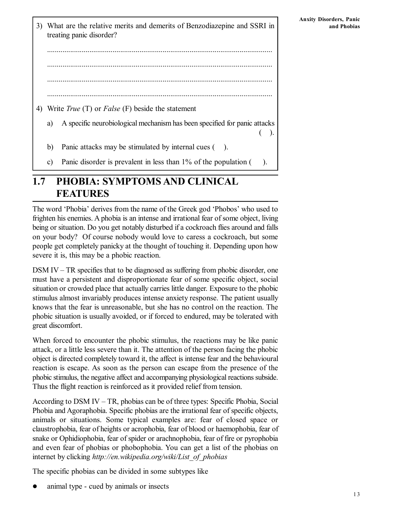$($ ).

- 3) What are the relative merits and demerits of Benzodiazepine and SSRI in treating panic disorder?
	- ..................................................................................................................... ..................................................................................................................... ..................................................................................................................... .....................................................................................................................
- 4) Write *True* (T) or *False* (F) beside the statement
	- a) A specific neurobiological mechanism has been specified for panic attacks
	- b) Panic attacks may be stimulated by internal cues ( ).
	- c) Panic disorder is prevalent in less than 1% of the population ( ).

## **1.7 PHOBIA: SYMPTOMS AND CLINICAL FEATURES**

The word 'Phobia' derives from the name of the Greek god 'Phobos' who used to frighten his enemies. A phobia is an intense and irrational fear of some object, living being or situation. Do you get notably disturbed if a cockroach flies around and falls on your body? Of course nobody would love to caress a cockroach, but some people get completely panicky at the thought of touching it. Depending upon how severe it is, this may be a phobic reaction.

DSM IV – TR specifies that to be diagnosed as suffering from phobic disorder, one must have a persistent and disproportionate fear of some specific object, social situation or crowded place that actually carries little danger. Exposure to the phobic stimulus almost invariably produces intense anxiety response. The patient usually knows that the fear is unreasonable, but she has no control on the reaction. The phobic situation is usually avoided, or if forced to endured, may be tolerated with great discomfort.

When forced to encounter the phobic stimulus, the reactions may be like panic attack, or a little less severe than it. The attention of the person facing the phobic object is directed completely toward it, the affect is intense fear and the behavioural reaction is escape. As soon as the person can escape from the presence of the phobic stimulus, the negative affect and accompanying physiological reactions subside. Thus the flight reaction is reinforced as it provided relief from tension.

According to DSM IV – TR, phobias can be of three types: Specific Phobia, Social Phobia and Agoraphobia. Specific phobias are the irrational fear of specific objects, animals or situations. Some typical examples are: fear of closed space or claustrophobia, fear of heights or acrophobia, fear of blood or haemophobia, fear of snake or Ophidiophobia, fear of spider or arachnophobia, fear of fire or pyrophobia and even fear of phobias or phobophobia. You can get a list of the phobias on internet by clicking *http://en.wikipedia.org/wiki/List\_of\_phobias*

The specific phobias can be divided in some subtypes like

animal type - cued by animals or insects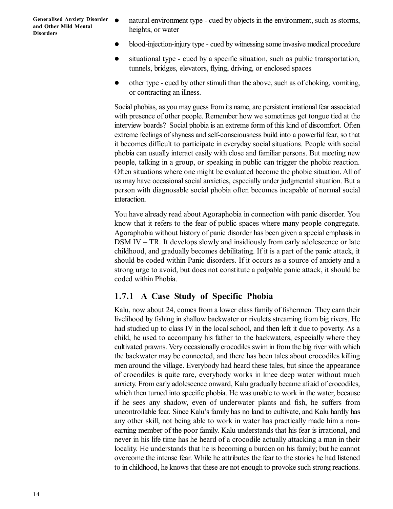- natural environment type cued by objects in the environment, such as storms, heights, or water
- blood-injection-injury type cued by witnessing some invasive medical procedure
- situational type cued by a specific situation, such as public transportation, tunnels, bridges, elevators, flying, driving, or enclosed spaces
- other type cued by other stimuli than the above, such as of choking, vomiting, or contracting an illness.

Social phobias, as you may guess from its name, are persistent irrational fear associated with presence of other people. Remember how we sometimes get tongue tied at the interview boards? Social phobia is an extreme form of this kind of discomfort. Often extreme feelings of shyness and self-consciousness build into a powerful fear, so that it becomes difficult to participate in everyday social situations. People with social phobia can usually interact easily with close and familiar persons. But meeting new people, talking in a group, or speaking in public can trigger the phobic reaction. Often situations where one might be evaluated become the phobic situation. All of us may have occasional social anxieties, especially under judgmental situation. But a person with diagnosable social phobia often becomes incapable of normal social interaction.

You have already read about Agoraphobia in connection with panic disorder. You know that it refers to the fear of public spaces where many people congregate. Agoraphobia without history of panic disorder has been given a special emphasis in DSM IV – TR. It develops slowly and insidiously from early adolescence or late childhood, and gradually becomes debilitating. If it is a part of the panic attack, it should be coded within Panic disorders. If it occurs as a source of anxiety and a strong urge to avoid, but does not constitute a palpable panic attack, it should be coded within Phobia.

#### **1.7.1 A Case Study of Specific Phobia**

Kalu, now about 24, comes from a lower class family of fishermen. They earn their livelihood by fishing in shallow backwater or rivulets streaming from big rivers. He had studied up to class IV in the local school, and then left it due to poverty. As a child, he used to accompany his father to the backwaters, especially where they cultivated prawns. Very occasionally crocodiles swim in from the big river with which the backwater may be connected, and there has been tales about crocodiles killing men around the village. Everybody had heard these tales, but since the appearance of crocodiles is quite rare, everybody works in knee deep water without much anxiety. From early adolescence onward, Kalu gradually became afraid of crocodiles, which then turned into specific phobia. He was unable to work in the water, because if he sees any shadow, even of underwater plants and fish, he suffers from uncontrollable fear. Since Kalu's family has no land to cultivate, and Kalu hardly has any other skill, not being able to work in water has practically made him a nonearning member of the poor family. Kalu understands that his fear is irrational, and never in his life time has he heard of a crocodile actually attacking a man in their locality. He understands that he is becoming a burden on his family; but he cannot overcome the intense fear. While he attributes the fear to the stories he had listened to in childhood, he knows that these are not enough to provoke such strong reactions.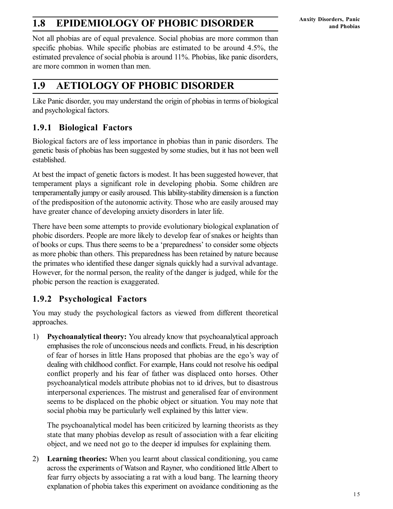## **1.8 EPIDEMIOLOGY OF PHOBIC DISORDER**

Not all phobias are of equal prevalence. Social phobias are more common than specific phobias. While specific phobias are estimated to be around 4.5%, the estimated prevalence of social phobia is around 11%. Phobias, like panic disorders, are more common in women than men.

### **1.9 AETIOLOGY OF PHOBIC DISORDER**

Like Panic disorder, you may understand the origin of phobias in terms of biological and psychological factors.

### **1.9.1 Biological Factors**

Biological factors are of less importance in phobias than in panic disorders. The genetic basis of phobias has been suggested by some studies, but it has not been well established.

At best the impact of genetic factors is modest. It has been suggested however, that temperament plays a significant role in developing phobia. Some children are temperamentally jumpy or easily aroused. This lability-stability dimension is a function of the predisposition of the autonomic activity. Those who are easily aroused may have greater chance of developing anxiety disorders in later life.

There have been some attempts to provide evolutionary biological explanation of phobic disorders. People are more likely to develop fear of snakes or heights than of books or cups. Thus there seems to be a 'preparedness' to consider some objects as more phobic than others. This preparedness has been retained by nature because the primates who identified these danger signals quickly had a survival advantage. However, for the normal person, the reality of the danger is judged, while for the phobic person the reaction is exaggerated.

### **1.9.2 Psychological Factors**

You may study the psychological factors as viewed from different theoretical approaches.

1) **Psychoanalytical theory:** You already know that psychoanalytical approach emphasises the role of unconscious needs and conflicts. Freud, in his description of fear of horses in little Hans proposed that phobias are the ego's way of dealing with childhood conflict. For example, Hans could not resolve his oedipal conflict properly and his fear of father was displaced onto horses. Other psychoanalytical models attribute phobias not to id drives, but to disastrous interpersonal experiences. The mistrust and generalised fear of environment seems to be displaced on the phobic object or situation. You may note that social phobia may be particularly well explained by this latter view.

The psychoanalytical model has been criticized by learning theorists as they state that many phobias develop as result of association with a fear eliciting object, and we need not go to the deeper id impulses for explaining them.

2) **Learning theories:** When you learnt about classical conditioning, you came across the experiments of Watson and Rayner, who conditioned little Albert to fear furry objects by associating a rat with a loud bang. The learning theory explanation of phobia takes this experiment on avoidance conditioning as the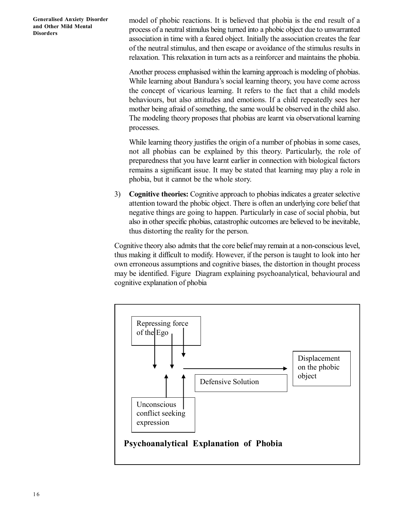model of phobic reactions. It is believed that phobia is the end result of a process of a neutral stimulus being turned into a phobic object due to unwarranted association in time with a feared object. Initially the association creates the fear of the neutral stimulus, and then escape or avoidance of the stimulus results in relaxation. This relaxation in turn acts as a reinforcer and maintains the phobia.

Another process emphasised within the learning approach is modeling of phobias. While learning about Bandura's social learning theory, you have come across the concept of vicarious learning. It refers to the fact that a child models behaviours, but also attitudes and emotions. If a child repeatedly sees her mother being afraid of something, the same would be observed in the child also. The modeling theory proposes that phobias are learnt via observational learning processes.

While learning theory justifies the origin of a number of phobias in some cases, not all phobias can be explained by this theory. Particularly, the role of preparedness that you have learnt earlier in connection with biological factors remains a significant issue. It may be stated that learning may play a role in phobia, but it cannot be the whole story.

3) **Cognitive theories:** Cognitive approach to phobias indicates a greater selective attention toward the phobic object. There is often an underlying core belief that negative things are going to happen. Particularly in case of social phobia, but also in other specific phobias, catastrophic outcomes are believed to be inevitable, thus distorting the reality for the person.

Cognitive theory also admits that the core belief may remain at a non-conscious level, thus making it difficult to modify. However, if the person is taught to look into her own erroneous assumptions and cognitive biases, the distortion in thought process may be identified. Figure Diagram explaining psychoanalytical, behavioural and cognitive explanation of phobia

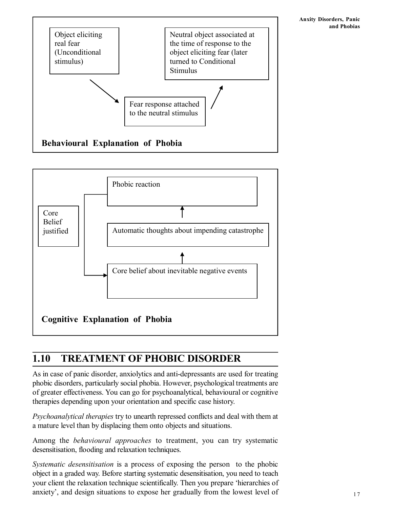



## **1.10 TREATMENT OF PHOBIC DISORDER**

As in case of panic disorder, anxiolytics and anti-depressants are used for treating phobic disorders, particularly social phobia. However, psychological treatments are of greater effectiveness. You can go for psychoanalytical, behavioural or cognitive therapies depending upon your orientation and specific case history.

*Psychoanalytical therapies* try to unearth repressed conflicts and deal with them at a mature level than by displacing them onto objects and situations.

Among the *behavioural approaches* to treatment, you can try systematic desensitisation, flooding and relaxation techniques.

*Systematic desensitisation* is a process of exposing the person to the phobic object in a graded way. Before starting systematic desensitisation, you need to teach your client the relaxation technique scientifically. Then you prepare 'hierarchies of anxiety', and design situations to expose her gradually from the lowest level of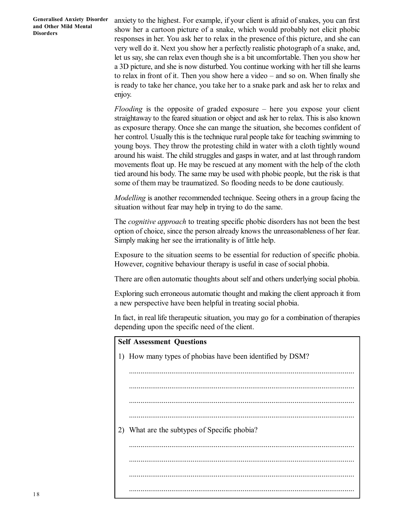anxiety to the highest. For example, if your client is afraid of snakes, you can first show her a cartoon picture of a snake, which would probably not elicit phobic responses in her. You ask her to relax in the presence of this picture, and she can very well do it. Next you show her a perfectly realistic photograph of a snake, and, let us say, she can relax even though she is a bit uncomfortable. Then you show her a 3D picture, and she is now disturbed. You continue working with her till she learns to relax in front of it. Then you show here a video – and so on. When finally she is ready to take her chance, you take her to a snake park and ask her to relax and enjoy.

*Flooding* is the opposite of graded exposure – here you expose your client straightaway to the feared situation or object and ask her to relax. This is also known as exposure therapy. Once she can mange the situation, she becomes confident of her control. Usually this is the technique rural people take for teaching swimming to young boys. They throw the protesting child in water with a cloth tightly wound around his waist. The child struggles and gasps in water, and at last through random movements float up. He may be rescued at any moment with the help of the cloth tied around his body. The same may be used with phobic people, but the risk is that some of them may be traumatized. So flooding needs to be done cautiously.

*Modelling* is another recommended technique. Seeing others in a group facing the situation without fear may help in trying to do the same.

The *cognitive approach* to treating specific phobic disorders has not been the best option of choice, since the person already knows the unreasonableness of her fear. Simply making her see the irrationality is of little help.

Exposure to the situation seems to be essential for reduction of specific phobia. However, cognitive behaviour therapy is useful in case of social phobia.

There are often automatic thoughts about self and others underlying social phobia.

Exploring such erroneous automatic thought and making the client approach it from a new perspective have been helpful in treating social phobia.

In fact, in real life therapeutic situation, you may go for a combination of therapies depending upon the specific need of the client.

| <b>Self Assessment Questions</b> |                                                           |  |  |  |  |
|----------------------------------|-----------------------------------------------------------|--|--|--|--|
|                                  | 1) How many types of phobias have been identified by DSM? |  |  |  |  |
|                                  |                                                           |  |  |  |  |
|                                  |                                                           |  |  |  |  |
|                                  |                                                           |  |  |  |  |
|                                  |                                                           |  |  |  |  |
| 2)                               | What are the subtypes of Specific phobia?                 |  |  |  |  |
|                                  |                                                           |  |  |  |  |
|                                  |                                                           |  |  |  |  |
|                                  |                                                           |  |  |  |  |
|                                  |                                                           |  |  |  |  |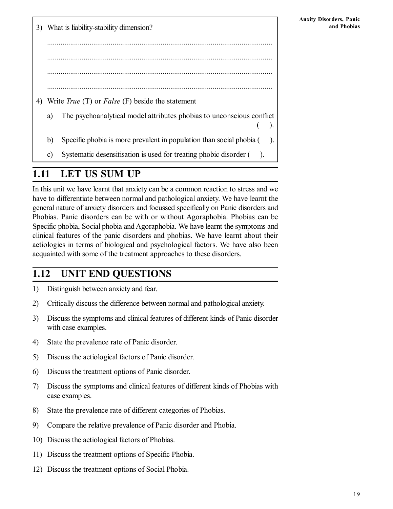3) What is liability-stability dimension? ..................................................................................................................... ..................................................................................................................... ..................................................................................................................... 4) Write *True* (T) or *False* (F) beside the statement a) The psychoanalytical model attributes phobias to unconscious conflict ( ). b) Specific phobia is more prevalent in population than social phobia (). c) Systematic desensitisation is used for treating phobic disorder ( ).

### **1.11 LET US SUM UP**

In this unit we have learnt that anxiety can be a common reaction to stress and we have to differentiate between normal and pathological anxiety. We have learnt the general nature of anxiety disorders and focussed specifically on Panic disorders and Phobias. Panic disorders can be with or without Agoraphobia. Phobias can be Specific phobia, Social phobia and Agoraphobia. We have learnt the symptoms and clinical features of the panic disorders and phobias. We have learnt about their aetiologies in terms of biological and psychological factors. We have also been acquainted with some of the treatment approaches to these disorders.

## **1.12 UNIT END QUESTIONS**

- 1) Distinguish between anxiety and fear.
- 2) Critically discuss the difference between normal and pathological anxiety.
- 3) Discuss the symptoms and clinical features of different kinds of Panic disorder with case examples.
- 4) State the prevalence rate of Panic disorder.
- 5) Discuss the aetiological factors of Panic disorder.
- 6) Discuss the treatment options of Panic disorder.
- 7) Discuss the symptoms and clinical features of different kinds of Phobias with case examples.
- 8) State the prevalence rate of different categories of Phobias.
- 9) Compare the relative prevalence of Panic disorder and Phobia.
- 10) Discuss the aetiological factors of Phobias.
- 11) Discuss the treatment options of Specific Phobia.
- 12) Discuss the treatment options of Social Phobia.